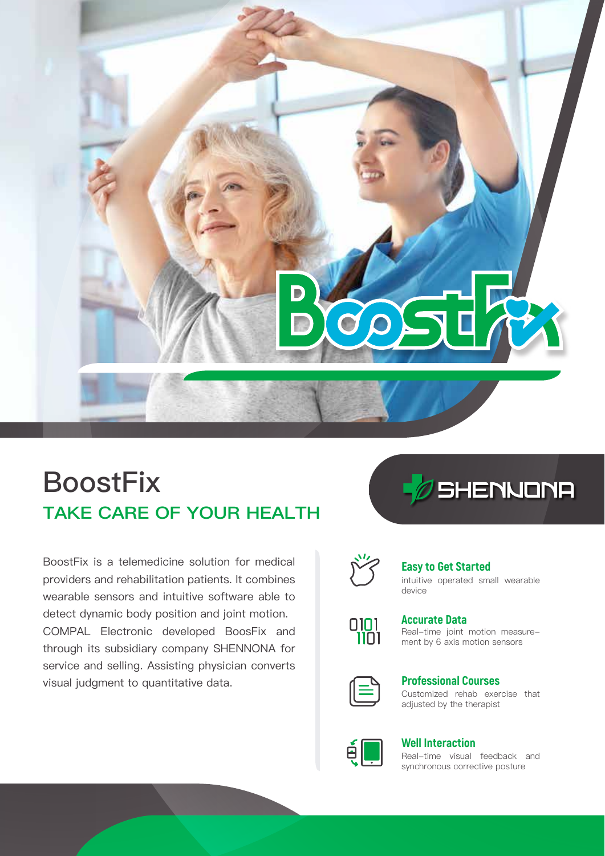

# **TAKE CARE OF YOUR HEALTH BoostFix**

BoostFix is a telemedicine solution for medical providers and rehabilitation patients. It combines wearable sensors and intuitive software able to detect dynamic body position and joint motion. COMPAL Electronic developed BoosFix and through its subsidiary company SHENNONA for service and selling. Assisting physician converts visual judgment to quantitative data.





## **Easy to Get Started**

intuitive operated small wearable device



# **Accurate Data**

Real-time joint motion measurement by 6 axis motion sensors



#### Customized rehab exercise that adjusted by the therapist **Professional Courses**



### **Well Interaction**

Real-time visual feedback and synchronous corrective posture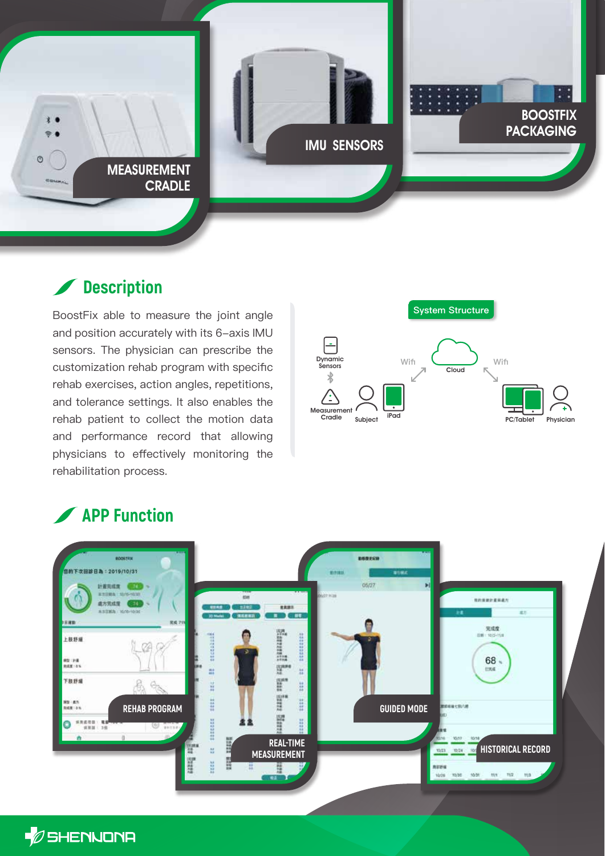

## **Description**

BoostFix able to measure the joint angle and position accurately with its 6-axis IMU sensors. The physician can prescribe the customization rehab program with specific rehab exercises, action angles, repetitions, and tolerance settings. It also enables the rehab patient to collect the motion data and performance record that allowing physicians to effectively monitoring the rehabilitation process.



## **APP Function**



*D* SHENNONA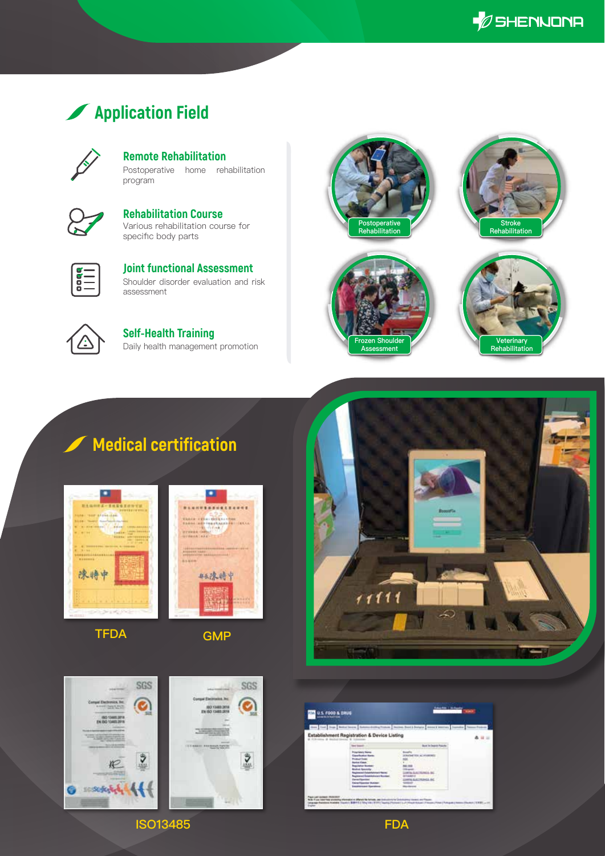$\mathscr{D}$ SHENNONA

## **Application Field**

**Remote Rehabilitation**

Postoperative home rehabilitation program



Various rehabilitation course for specific body parts **Rehabilitation Course**



Shoulder disorder evaluation and risk assessment **Joint functional Assessment**



Daily health management promotion **Self-Health Training**







## **Medical certification**



**TFDA GMP**









**ISO13485**